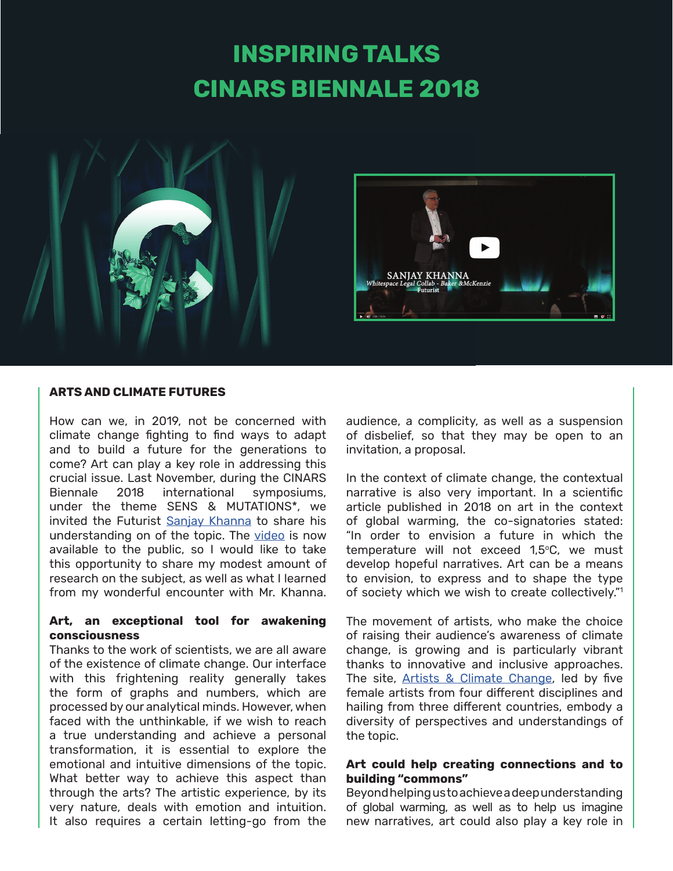# **INSPIRING TALKS CINARS BIENNALE 2018**



#### **ARTS AND CLIMATE FUTURES**

How can we, in 2019, not be concerned with climate change fighting to find ways to adapt and to build a future for the generations to come? Art can play a key role in addressing this crucial issue. Last November, during the CINARS Biennale 2018 international symposiums, under the theme SENS & MUTATIONS\*, we invited the Futurist [Sanjay Khanna](https://sanjay-khanna.com) to share his understanding on of the topic. The [video](https://www.youtube.com/watch?v=T4BLJoe-SBs) is now available to the public, so I would like to take this opportunity to share my modest amount of research on the subject, as well as what I learned from my wonderful encounter with Mr. Khanna.

#### **Art, an exceptional tool for awakening consciousness**

Thanks to the work of scientists, we are all aware of the existence of climate change. Our interface with this frightening reality generally takes the form of graphs and numbers, which are processed by our analytical minds. However, when faced with the unthinkable, if we wish to reach a true understanding and achieve a personal transformation, it is essential to explore the emotional and intuitive dimensions of the topic. What better way to achieve this aspect than through the arts? The artistic experience, by its very nature, deals with emotion and intuition. It also requires a certain letting-go from the

audience, a complicity, as well as a suspension of disbelief, so that they may be open to an invitation, a proposal.

In the context of climate change, the contextual narrative is also very important. In a scientific article published in 2018 on art in the context of global warming, the co-signatories stated: "In order to envision a future in which the temperature will not exceed 1,5°C, we must develop hopeful narratives. Art can be a means to envision, to express and to shape the type of society which we wish to create collectively."<sup>1</sup>

The movement of artists, who make the choice of raising their audience's awareness of climate change, is growing and is particularly vibrant thanks to innovative and inclusive approaches. The site, [Artists & Climate Change](https://artistsandclimatechange.com), led by five female artists from four different disciplines and hailing from three different countries, embody a diversity of perspectives and understandings of the topic.

## **Art could help creating connections and to building "commons"**

Beyond helping us to achieve a deep understanding of global warming, as well as to help us imagine new narratives, art could also play a key role in